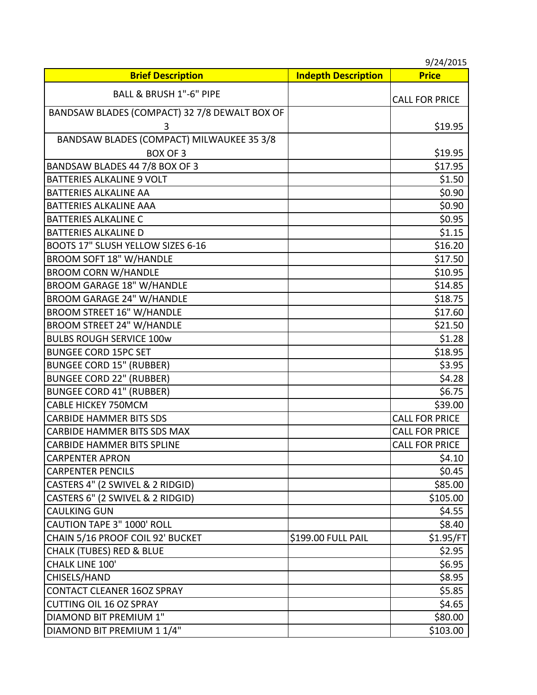|                                               |                            | 9/24/2015             |
|-----------------------------------------------|----------------------------|-----------------------|
| <b>Brief Description</b>                      | <b>Indepth Description</b> | <b>Price</b>          |
| BALL & BRUSH 1"-6" PIPE                       |                            | <b>CALL FOR PRICE</b> |
| BANDSAW BLADES (COMPACT) 32 7/8 DEWALT BOX OF |                            |                       |
| 3                                             |                            | \$19.95               |
| BANDSAW BLADES (COMPACT) MILWAUKEE 35 3/8     |                            |                       |
| <b>BOX OF 3</b>                               |                            | \$19.95               |
| BANDSAW BLADES 44 7/8 BOX OF 3                |                            | \$17.95               |
| <b>BATTERIES ALKALINE 9 VOLT</b>              |                            | \$1.50                |
| <b>BATTERIES ALKALINE AA</b>                  |                            | \$0.90                |
| <b>BATTERIES ALKALINE AAA</b>                 |                            | \$0.90                |
| <b>BATTERIES ALKALINE C</b>                   |                            | \$0.95                |
| <b>BATTERIES ALKALINE D</b>                   |                            | \$1.15                |
| BOOTS 17" SLUSH YELLOW SIZES 6-16             |                            | \$16.20               |
| <b>BROOM SOFT 18" W/HANDLE</b>                |                            | \$17.50               |
| <b>BROOM CORN W/HANDLE</b>                    |                            | \$10.95               |
| <b>BROOM GARAGE 18" W/HANDLE</b>              |                            | \$14.85               |
| <b>BROOM GARAGE 24" W/HANDLE</b>              |                            | \$18.75               |
| <b>BROOM STREET 16" W/HANDLE</b>              |                            | \$17.60               |
| <b>BROOM STREET 24" W/HANDLE</b>              |                            | \$21.50               |
| <b>BULBS ROUGH SERVICE 100w</b>               |                            | \$1.28                |
| <b>BUNGEE CORD 15PC SET</b>                   |                            | \$18.95               |
| <b>BUNGEE CORD 15" (RUBBER)</b>               |                            | \$3.95                |
| <b>BUNGEE CORD 22" (RUBBER)</b>               |                            | \$4.28                |
| <b>BUNGEE CORD 41" (RUBBER)</b>               |                            | \$6.75                |
| <b>CABLE HICKEY 750MCM</b>                    |                            | \$39.00               |
| <b>CARBIDE HAMMER BITS SDS</b>                |                            | <b>CALL FOR PRICE</b> |
| <b>CARBIDE HAMMER BITS SDS MAX</b>            |                            | <b>CALL FOR PRICE</b> |
| <b>CARBIDE HAMMER BITS SPLINE</b>             |                            | <b>CALL FOR PRICE</b> |
| <b>CARPENTER APRON</b>                        |                            | \$4.10                |
| <b>CARPENTER PENCILS</b>                      |                            | \$0.45                |
| CASTERS 4" (2 SWIVEL & 2 RIDGID)              |                            | \$85.00               |
| CASTERS 6" (2 SWIVEL & 2 RIDGID)              |                            | \$105.00              |
| <b>CAULKING GUN</b>                           |                            | \$4.55                |
| <b>CAUTION TAPE 3" 1000' ROLL</b>             |                            | \$8.40                |
| CHAIN 5/16 PROOF COIL 92' BUCKET              | \$199.00 FULL PAIL         | \$1.95/FT             |
| <b>CHALK (TUBES) RED &amp; BLUE</b>           |                            | \$2.95                |
| <b>CHALK LINE 100'</b>                        |                            | \$6.95                |
| CHISELS/HAND                                  |                            | \$8.95                |
| <b>CONTACT CLEANER 16OZ SPRAY</b>             |                            | \$5.85                |
| <b>CUTTING OIL 16 OZ SPRAY</b>                |                            | \$4.65                |
| DIAMOND BIT PREMIUM 1"                        |                            | \$80.00               |
| DIAMOND BIT PREMIUM 1 1/4"                    |                            | \$103.00              |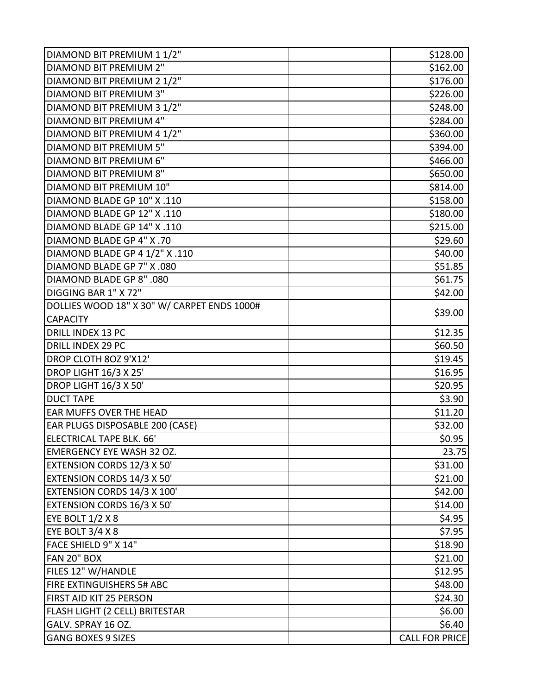| DIAMOND BIT PREMIUM 1 1/2"                  | \$128.00              |
|---------------------------------------------|-----------------------|
| <b>DIAMOND BIT PREMIUM 2"</b>               | \$162.00              |
| DIAMOND BIT PREMIUM 2 1/2"                  | \$176.00              |
| <b>DIAMOND BIT PREMIUM 3"</b>               | \$226.00              |
| DIAMOND BIT PREMIUM 3 1/2"                  | \$248.00              |
| <b>DIAMOND BIT PREMIUM 4"</b>               | \$284.00              |
| DIAMOND BIT PREMIUM 4 1/2"                  | \$360.00              |
| <b>DIAMOND BIT PREMIUM 5"</b>               | \$394.00              |
| DIAMOND BIT PREMIUM 6"                      | \$466.00              |
| DIAMOND BIT PREMIUM 8"                      | \$650.00              |
| DIAMOND BIT PREMIUM 10"                     | \$814.00              |
| DIAMOND BLADE GP 10" X .110                 | \$158.00              |
| DIAMOND BLADE GP 12" X .110                 | \$180.00              |
| DIAMOND BLADE GP 14" X .110                 | \$215.00              |
| DIAMOND BLADE GP 4" X.70                    | \$29.60               |
| DIAMOND BLADE GP 4 1/2" X .110              | \$40.00               |
| DIAMOND BLADE GP 7" X .080                  | \$51.85               |
| DIAMOND BLADE GP 8" .080                    | \$61.75               |
| DIGGING BAR 1" X 72"                        | \$42.00               |
| DOLLIES WOOD 18" X 30" W/ CARPET ENDS 1000# |                       |
| <b>CAPACITY</b>                             | \$39.00               |
| <b>DRILL INDEX 13 PC</b>                    | \$12.35               |
| DRILL INDEX 29 PC                           | \$60.50               |
| DROP CLOTH 80Z 9'X12'                       | \$19.45               |
| <b>DROP LIGHT 16/3 X 25'</b>                | \$16.95               |
| <b>DROP LIGHT 16/3 X 50'</b>                | \$20.95               |
| <b>DUCT TAPE</b>                            | \$3.90                |
| <b>EAR MUFFS OVER THE HEAD</b>              | \$11.20               |
| EAR PLUGS DISPOSABLE 200 (CASE)             | \$32.00               |
| ELECTRICAL TAPE BLK. 66'                    | \$0.95                |
| <b>EMERGENCY EYE WASH 32 OZ.</b>            | 23.75                 |
| <b>EXTENSION CORDS 12/3 X 50'</b>           | \$31.00               |
| EXTENSION CORDS 14/3 X 50'                  | \$21.00               |
| EXTENSION CORDS 14/3 X 100'                 | \$42.00               |
| <b>EXTENSION CORDS 16/3 X 50'</b>           | \$14.00               |
| <b>EYE BOLT 1/2 X 8</b>                     | \$4.95                |
| EYE BOLT 3/4 X 8                            | \$7.95                |
| FACE SHIELD 9" X 14"                        | \$18.90               |
| FAN 20" BOX                                 | \$21.00               |
| FILES 12" W/HANDLE                          | \$12.95               |
| FIRE EXTINGUISHERS 5# ABC                   | \$48.00               |
| <b>FIRST AID KIT 25 PERSON</b>              | \$24.30               |
| FLASH LIGHT (2 CELL) BRITESTAR              | \$6.00                |
| GALV. SPRAY 16 OZ.                          | \$6.40                |
| <b>GANG BOXES 9 SIZES</b>                   | <b>CALL FOR PRICE</b> |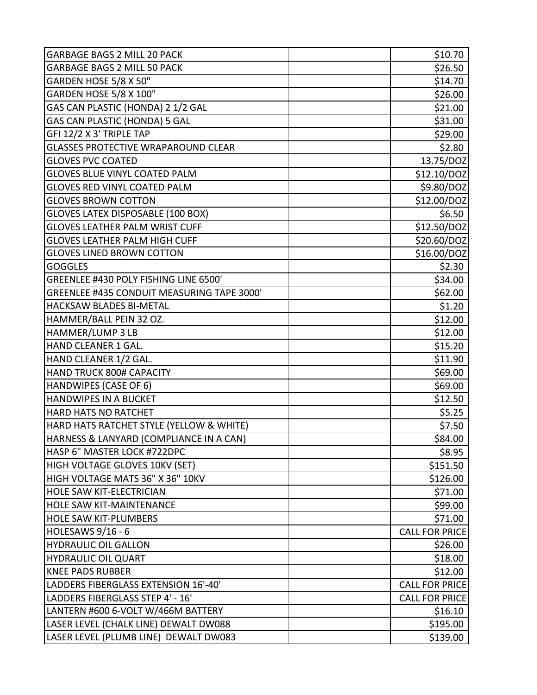| <b>GARBAGE BAGS 2 MILL 20 PACK</b>         | \$10.70               |
|--------------------------------------------|-----------------------|
| <b>GARBAGE BAGS 2 MILL 50 PACK</b>         | \$26.50               |
| GARDEN HOSE 5/8 X 50"                      | \$14.70               |
| GARDEN HOSE 5/8 X 100"                     | \$26.00               |
| GAS CAN PLASTIC (HONDA) 2 1/2 GAL          | \$21.00               |
| GAS CAN PLASTIC (HONDA) 5 GAL              | \$31.00               |
| GFI 12/2 X 3' TRIPLE TAP                   | \$29.00               |
| <b>GLASSES PROTECTIVE WRAPAROUND CLEAR</b> | \$2.80                |
| <b>GLOVES PVC COATED</b>                   | 13.75/DOZ             |
| <b>GLOVES BLUE VINYL COATED PALM</b>       | \$12.10/DOZ           |
| <b>GLOVES RED VINYL COATED PALM</b>        | \$9.80/DOZ            |
| <b>GLOVES BROWN COTTON</b>                 | \$12.00/DOZ           |
| <b>GLOVES LATEX DISPOSABLE (100 BOX)</b>   | \$6.50                |
| <b>GLOVES LEATHER PALM WRIST CUFF</b>      | \$12.50/DOZ           |
| <b>GLOVES LEATHER PALM HIGH CUFF</b>       | \$20.60/DOZ           |
| <b>GLOVES LINED BROWN COTTON</b>           | \$16.00/DOZ           |
| <b>GOGGLES</b>                             | \$2.30                |
| GREENLEE #430 POLY FISHING LINE 6500'      | \$34.00               |
| GREENLEE #435 CONDUIT MEASURING TAPE 3000' | \$62.00               |
| HACKSAW BLADES BI-METAL                    | \$1.20                |
| HAMMER/BALL PEIN 32 OZ.                    | \$12.00               |
| HAMMER/LUMP 3 LB                           | \$12.00               |
| HAND CLEANER 1 GAL.                        | \$15.20               |
| HAND CLEANER 1/2 GAL.                      | \$11.90               |
| <b>HAND TRUCK 800# CAPACITY</b>            | \$69.00               |
| HANDWIPES (CASE OF 6)                      | \$69.00               |
| <b>HANDWIPES IN A BUCKET</b>               | \$12.50               |
| <b>HARD HATS NO RATCHET</b>                | \$5.25                |
| HARD HATS RATCHET STYLE (YELLOW & WHITE)   | \$7.50                |
| HARNESS & LANYARD (COMPLIANCE IN A CAN)    | \$84.00               |
| HASP 6" MASTER LOCK #722DPC                | \$8.95                |
| HIGH VOLTAGE GLOVES 10KV (SET)             | \$151.50              |
| HIGH VOLTAGE MATS 36" X 36" 10KV           | \$126.00              |
| HOLE SAW KIT-ELECTRICIAN                   | \$71.00               |
| HOLE SAW KIT-MAINTENANCE                   | \$99.00               |
| <b>HOLE SAW KIT-PLUMBERS</b>               | \$71.00               |
| HOLESAWS 9/16 - 6                          | <b>CALL FOR PRICE</b> |
| <b>HYDRAULIC OIL GALLON</b>                | \$26.00               |
| <b>HYDRAULIC OIL QUART</b>                 | \$18.00               |
| <b>KNEE PADS RUBBER</b>                    | \$12.00               |
| LADDERS FIBERGLASS EXTENSION 16'-40'       | <b>CALL FOR PRICE</b> |
| LADDERS FIBERGLASS STEP 4' - 16'           | <b>CALL FOR PRICE</b> |
| LANTERN #600 6-VOLT W/466M BATTERY         | \$16.10               |
| LASER LEVEL (CHALK LINE) DEWALT DW088      | \$195.00              |
| LASER LEVEL (PLUMB LINE) DEWALT DW083      | \$139.00              |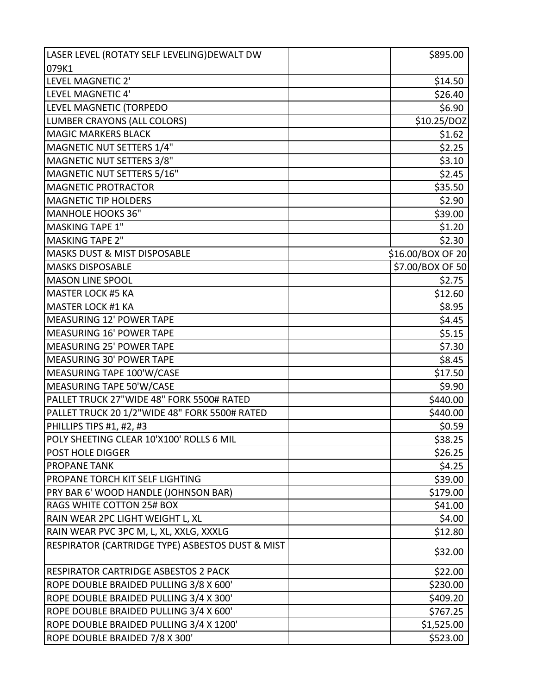| LASER LEVEL (ROTATY SELF LEVELING) DEWALT DW     | \$895.00          |
|--------------------------------------------------|-------------------|
| 079K1                                            |                   |
| LEVEL MAGNETIC 2'                                | \$14.50           |
| LEVEL MAGNETIC 4'                                | \$26.40           |
| LEVEL MAGNETIC (TORPEDO                          | \$6.90            |
| LUMBER CRAYONS (ALL COLORS)                      | \$10.25/DOZ       |
| <b>MAGIC MARKERS BLACK</b>                       | \$1.62            |
| MAGNETIC NUT SETTERS 1/4"                        | \$2.25            |
| MAGNETIC NUT SETTERS 3/8"                        | \$3.10            |
| MAGNETIC NUT SETTERS 5/16"                       | \$2.45            |
| <b>MAGNETIC PROTRACTOR</b>                       | \$35.50           |
| <b>MAGNETIC TIP HOLDERS</b>                      | \$2.90            |
| <b>MANHOLE HOOKS 36"</b>                         | \$39.00           |
| <b>MASKING TAPE 1"</b>                           | \$1.20            |
| <b>MASKING TAPE 2"</b>                           | \$2.30            |
| <b>MASKS DUST &amp; MIST DISPOSABLE</b>          | \$16.00/BOX OF 20 |
| <b>MASKS DISPOSABLE</b>                          | \$7.00/BOX OF 50  |
| <b>MASON LINE SPOOL</b>                          | \$2.75            |
| <b>MASTER LOCK #5 KA</b>                         | \$12.60           |
| <b>MASTER LOCK #1 KA</b>                         | \$8.95            |
| MEASURING 12' POWER TAPE                         | \$4.45            |
| MEASURING 16' POWER TAPE                         | \$5.15            |
| <b>MEASURING 25' POWER TAPE</b>                  | \$7.30            |
| <b>MEASURING 30' POWER TAPE</b>                  | \$8.45            |
| MEASURING TAPE 100'W/CASE                        | \$17.50           |
| MEASURING TAPE 50'W/CASE                         | \$9.90            |
| PALLET TRUCK 27"WIDE 48" FORK 5500# RATED        | \$440.00          |
| PALLET TRUCK 20 1/2"WIDE 48" FORK 5500# RATED    | \$440.00          |
| PHILLIPS TIPS #1, #2, #3                         | \$0.59            |
| POLY SHEETING CLEAR 10'X100' ROLLS 6 MIL         | \$38.25           |
| <b>POST HOLE DIGGER</b>                          | \$26.25           |
| <b>PROPANE TANK</b>                              | \$4.25            |
| PROPANE TORCH KIT SELF LIGHTING                  | \$39.00           |
| PRY BAR 6' WOOD HANDLE (JOHNSON BAR)             | \$179.00          |
| RAGS WHITE COTTON 25# BOX                        | \$41.00           |
| RAIN WEAR 2PC LIGHT WEIGHT L, XL                 | \$4.00            |
| RAIN WEAR PVC 3PC M, L, XL, XXLG, XXXLG          | \$12.80           |
| RESPIRATOR (CARTRIDGE TYPE) ASBESTOS DUST & MIST |                   |
|                                                  | \$32.00           |
| <b>RESPIRATOR CARTRIDGE ASBESTOS 2 PACK</b>      | \$22.00           |
| ROPE DOUBLE BRAIDED PULLING 3/8 X 600'           | \$230.00          |
| ROPE DOUBLE BRAIDED PULLING 3/4 X 300'           | \$409.20          |
| ROPE DOUBLE BRAIDED PULLING 3/4 X 600'           | \$767.25          |
| ROPE DOUBLE BRAIDED PULLING 3/4 X 1200'          | \$1,525.00        |
| ROPE DOUBLE BRAIDED 7/8 X 300'                   | \$523.00          |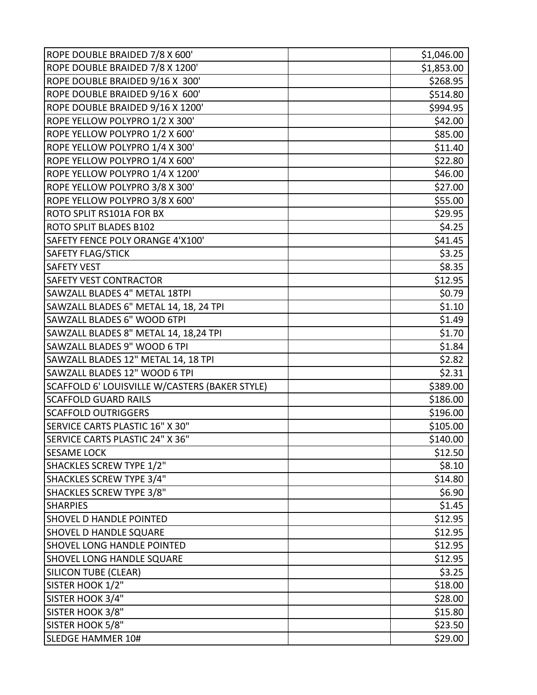| ROPE DOUBLE BRAIDED 7/8 X 600'                 | \$1,046.00 |
|------------------------------------------------|------------|
| ROPE DOUBLE BRAIDED 7/8 X 1200'                | \$1,853.00 |
| ROPE DOUBLE BRAIDED 9/16 X 300'                | \$268.95   |
| ROPE DOUBLE BRAIDED 9/16 X 600'                | \$514.80   |
| ROPE DOUBLE BRAIDED 9/16 X 1200'               | \$994.95   |
| ROPE YELLOW POLYPRO 1/2 X 300'                 | \$42.00    |
| ROPE YELLOW POLYPRO 1/2 X 600'                 | \$85.00    |
| ROPE YELLOW POLYPRO 1/4 X 300'                 | \$11.40    |
| ROPE YELLOW POLYPRO 1/4 X 600'                 | \$22.80    |
| ROPE YELLOW POLYPRO 1/4 X 1200'                | \$46.00    |
| ROPE YELLOW POLYPRO 3/8 X 300'                 | \$27.00    |
| ROPE YELLOW POLYPRO 3/8 X 600'                 | \$55.00    |
| ROTO SPLIT RS101A FOR BX                       | \$29.95    |
| <b>ROTO SPLIT BLADES B102</b>                  | \$4.25     |
| SAFETY FENCE POLY ORANGE 4'X100'               | \$41.45    |
| <b>SAFETY FLAG/STICK</b>                       | \$3.25     |
| <b>SAFETY VEST</b>                             | \$8.35     |
| <b>SAFETY VEST CONTRACTOR</b>                  | \$12.95    |
| <b>SAWZALL BLADES 4" METAL 18TPI</b>           | \$0.79     |
| SAWZALL BLADES 6" METAL 14, 18, 24 TPI         | \$1.10     |
| SAWZALL BLADES 6" WOOD 6TPI                    | \$1.49     |
| SAWZALL BLADES 8" METAL 14, 18,24 TPI          | \$1.70     |
| SAWZALL BLADES 9" WOOD 6 TPI                   | \$1.84     |
| SAWZALL BLADES 12" METAL 14, 18 TPI            | \$2.82     |
| SAWZALL BLADES 12" WOOD 6 TPI                  | \$2.31     |
| SCAFFOLD 6' LOUISVILLE W/CASTERS (BAKER STYLE) | \$389.00   |
| <b>SCAFFOLD GUARD RAILS</b>                    | \$186.00   |
| <b>SCAFFOLD OUTRIGGERS</b>                     | \$196.00   |
| SERVICE CARTS PLASTIC 16" X 30"                | \$105.00   |
| SERVICE CARTS PLASTIC 24" X 36"                | \$140.00   |
| <b>SESAME LOCK</b>                             | \$12.50    |
| SHACKLES SCREW TYPE 1/2"                       | \$8.10     |
| SHACKLES SCREW TYPE 3/4"                       | \$14.80    |
| <b>SHACKLES SCREW TYPE 3/8"</b>                | \$6.90     |
| <b>SHARPIES</b>                                | \$1.45     |
| <b>SHOVEL D HANDLE POINTED</b>                 | \$12.95    |
| <b>SHOVEL D HANDLE SQUARE</b>                  | \$12.95    |
| <b>SHOVEL LONG HANDLE POINTED</b>              | \$12.95    |
| <b>SHOVEL LONG HANDLE SQUARE</b>               | \$12.95    |
| <b>SILICON TUBE (CLEAR)</b>                    | \$3.25     |
| SISTER HOOK 1/2"                               | \$18.00    |
| SISTER HOOK 3/4"                               | \$28.00    |
| SISTER HOOK 3/8"                               | \$15.80    |
| SISTER HOOK 5/8"                               | \$23.50    |
| <b>SLEDGE HAMMER 10#</b>                       | \$29.00    |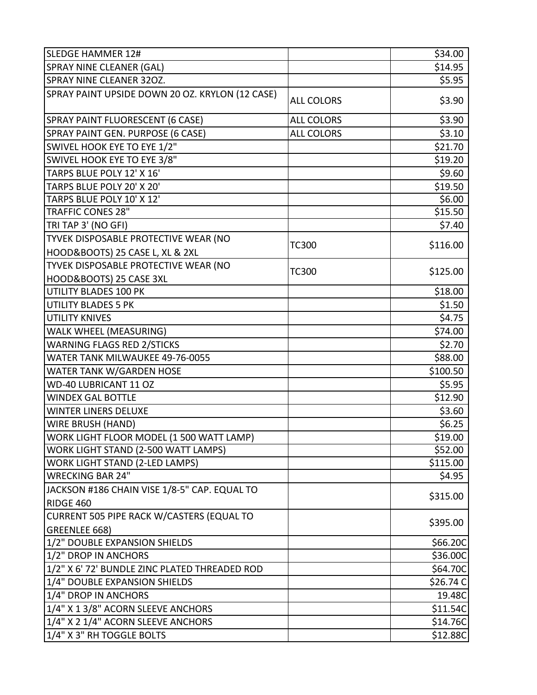| <b>SLEDGE HAMMER 12#</b>                         |                   | \$34.00     |
|--------------------------------------------------|-------------------|-------------|
| <b>SPRAY NINE CLEANER (GAL)</b>                  |                   | \$14.95     |
| <b>SPRAY NINE CLEANER 320Z.</b>                  |                   | \$5.95      |
| SPRAY PAINT UPSIDE DOWN 20 OZ. KRYLON (12 CASE)  | <b>ALL COLORS</b> | \$3.90      |
| SPRAY PAINT FLUORESCENT (6 CASE)                 | <b>ALL COLORS</b> | \$3.90      |
| SPRAY PAINT GEN. PURPOSE (6 CASE)                | <b>ALL COLORS</b> | \$3.10      |
| SWIVEL HOOK EYE TO EYE 1/2"                      |                   | \$21.70     |
| SWIVEL HOOK EYE TO EYE 3/8"                      |                   | \$19.20     |
| TARPS BLUE POLY 12' X 16'                        |                   | \$9.60      |
| TARPS BLUE POLY 20' X 20'                        |                   | \$19.50     |
| TARPS BLUE POLY 10' X 12'                        |                   | \$6.00      |
| <b>TRAFFIC CONES 28"</b>                         |                   | \$15.50     |
| TRI TAP 3' (NO GFI)                              |                   | \$7.40      |
| TYVEK DISPOSABLE PROTECTIVE WEAR (NO             | <b>TC300</b>      | \$116.00    |
| HOOD&BOOTS) 25 CASE L, XL & 2XL                  |                   |             |
| TYVEK DISPOSABLE PROTECTIVE WEAR (NO             | <b>TC300</b>      | \$125.00    |
| HOOD&BOOTS) 25 CASE 3XL                          |                   |             |
| UTILITY BLADES 100 PK                            |                   | \$18.00     |
| <b>UTILITY BLADES 5 PK</b>                       |                   | \$1.50      |
| <b>UTILITY KNIVES</b>                            |                   | \$4.75      |
| <b>WALK WHEEL (MEASURING)</b>                    |                   | \$74.00     |
| <b>WARNING FLAGS RED 2/STICKS</b>                |                   | \$2.70      |
| WATER TANK MILWAUKEE 49-76-0055                  |                   | \$88.00     |
| WATER TANK W/GARDEN HOSE                         |                   | \$100.50    |
| WD-40 LUBRICANT 11 OZ                            |                   | \$5.95      |
| <b>WINDEX GAL BOTTLE</b>                         |                   | \$12.90     |
| <b>WINTER LINERS DELUXE</b>                      |                   | \$3.60      |
| <b>WIRE BRUSH (HAND)</b>                         |                   | \$6.25      |
| WORK LIGHT FLOOR MODEL (1 500 WATT LAMP)         |                   | \$19.00     |
| WORK LIGHT STAND (2-500 WATT LAMPS)              |                   | \$52.00     |
| <b>WORK LIGHT STAND (2-LED LAMPS)</b>            |                   | \$115.00    |
| <b>WRECKING BAR 24"</b>                          |                   | \$4.95      |
| JACKSON #186 CHAIN VISE 1/8-5" CAP. EQUAL TO     |                   | \$315.00    |
| RIDGE 460                                        |                   |             |
| <b>CURRENT 505 PIPE RACK W/CASTERS (EQUAL TO</b> |                   | \$395.00    |
| GREENLEE 668)                                    |                   |             |
| 1/2" DOUBLE EXPANSION SHIELDS                    |                   | \$66.20C    |
| 1/2" DROP IN ANCHORS                             |                   | \$36.00C    |
| 1/2" X 6' 72' BUNDLE ZINC PLATED THREADED ROD    |                   | \$64.70C    |
| 1/4" DOUBLE EXPANSION SHIELDS                    |                   | \$26.74 $C$ |
| 1/4" DROP IN ANCHORS                             |                   | 19.48C      |
| 1/4" X 1 3/8" ACORN SLEEVE ANCHORS               |                   | \$11.54C    |
| 1/4" X 2 1/4" ACORN SLEEVE ANCHORS               |                   | \$14.76C    |
| 1/4" X 3" RH TOGGLE BOLTS                        |                   | \$12.88C    |